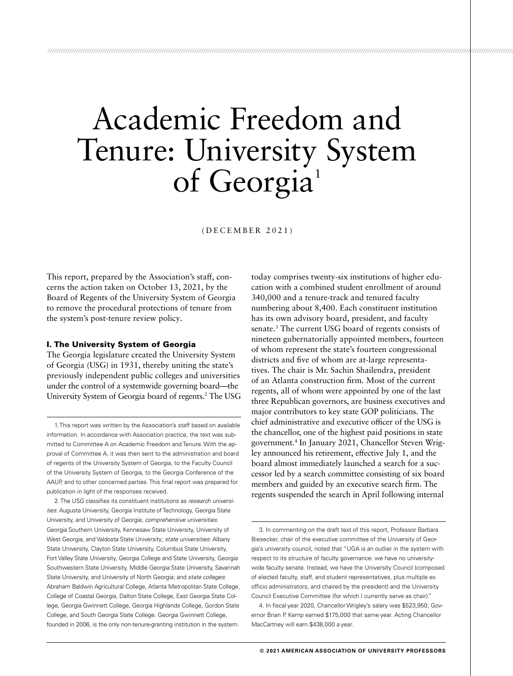# Academic Freedom and Tenure: University System of Georgia<sup>1</sup>

*/////////////////////////////////////////////////////////////////////////////////////////////////////////////////////////////////////////////////////////////////////////////////////////////////////////////////////////*

(DECEMBER 2021)

This report, prepared by the Association's staff, concerns the action taken on October 13, 2021, by the Board of Regents of the University System of Georgia to remove the procedural protections of tenure from the system's post-tenure review policy.

#### I. The University System of Georgia

The Georgia legislature created the University System of Georgia (USG) in 1931, thereby uniting the state's previously independent public colleges and universities under the control of a systemwide governing board—the University System of Georgia board of regents.2 The USG

 1. This report was written by the Association's staff based on available information. In accordance with Association practice, the text was submitted to Committee A on Academic Freedom and Tenure. With the approval of Committee A, it was then sent to the administration and board of regents of the University System of Georgia, to the Faculty Council of the University System of Georgia, to the Georgia Conference of the AAUP, and to other concerned parties. This final report was prepared for publication in light of the responses received.

 2. The USG classifies its constituent institutions as *research universities*: Augusta University, Georgia Institute of Technology, Georgia State University, and University of Georgia; *comprehensive universities*: Georgia Southern University, Kennesaw State University, University of West Georgia, and Valdosta State University; *state universities*: Albany State University, Clayton State University, Columbus State University, Fort Valley State University, Georgia College and State University, Georgia Southwestern State University, Middle Georgia State University, Savannah State University, and University of North Georgia; and *state colleges*: Abraham Baldwin Agricultural College, Atlanta Metropolitan State College, College of Coastal Georgia, Dalton State College, East Georgia State College, Georgia Gwinnett College, Georgia Highlands College, Gordon State College, and South Georgia State College. Georgia Gwinnett College, founded in 2006, is the only non-tenure-granting institution in the system.

today comprises twenty-six institutions of higher education with a combined student enrollment of around 340,000 and a tenure-track and tenured faculty numbering about 8,400. Each constituent institution has its own advisory board, president, and faculty senate.3 The current USG board of regents consists of nineteen gubernatorially appointed members, fourteen of whom represent the state's fourteen congressional districts and five of whom are at-large representatives. The chair is Mr. Sachin Shailendra, president of an Atlanta construction firm. Most of the current regents, all of whom were appointed by one of the last three Republican governors, are business executives and major contributors to key state GOP politicians. The chief administrative and executive officer of the USG is the chancellor, one of the highest paid positions in state government.4 In January 2021, Chancellor Steven Wrigley announced his retirement, effective July 1, and the board almost immediately launched a search for a successor led by a search committee consisting of six board members and guided by an executive search firm. The regents suspended the search in April following internal

 3. In commenting on the draft text of this report, Professor Barbara Biesecker, chair of the executive committee of the University of Georgia's university council, noted that "UGA is an outlier in the system with respect to its structure of faculty governance: we have no universitywide faculty senate. Instead, we have the University Council (composed of elected faculty, staff, and student representatives, plus multiple ex officio administrators, and chaired by the president) and the University Council Executive Committee (for which I currently serve as chair)."

 4. In fiscal year 2020, Chancellor Wrigley's salary was \$523,950; Governor Brian P. Kemp earned \$175,000 that same year. Acting Chancellor MacCartney will earn \$438,000 a year.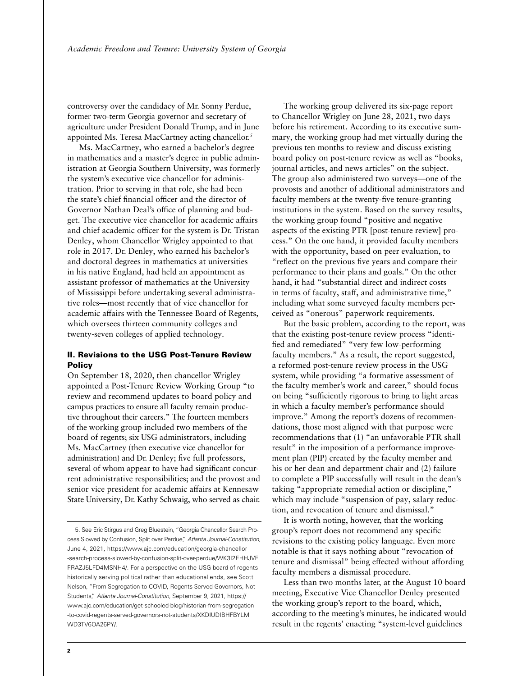controversy over the candidacy of Mr. Sonny Perdue, former two-term Georgia governor and secretary of agriculture under President Donald Trump, and in June appointed Ms. Teresa MacCartney acting chancellor.<sup>5</sup>

Ms. MacCartney, who earned a bachelor's degree in mathematics and a master's degree in public administration at Georgia Southern University, was formerly the system's executive vice chancellor for administration. Prior to serving in that role, she had been the state's chief financial officer and the director of Governor Nathan Deal's office of planning and budget. The executive vice chancellor for academic affairs and chief academic officer for the system is Dr. Tristan Denley, whom Chancellor Wrigley appointed to that role in 2017. Dr. Denley, who earned his bachelor's and doctoral degrees in mathematics at universities in his native England, had held an appointment as assistant professor of mathematics at the University of Mississippi before undertaking several administrative roles—most recently that of vice chancellor for academic affairs with the Tennessee Board of Regents, which oversees thirteen community colleges and twenty-seven colleges of applied technology.

## II. Revisions to the USG Post-Tenure Review **Policy**

On September 18, 2020, then chancellor Wrigley appointed a Post-Tenure Review Working Group "to review and recommend updates to board policy and campus practices to ensure all faculty remain productive throughout their careers." The fourteen members of the working group included two members of the board of regents; six USG administrators, including Ms. MacCartney (then executive vice chancellor for administration) and Dr. Denley; five full professors, several of whom appear to have had significant concurrent administrative responsibilities; and the provost and senior vice president for academic affairs at Kennesaw State University, Dr. Kathy Schwaig, who served as chair.

The working group delivered its six-page report to Chancellor Wrigley on June 28, 2021, two days before his retirement. According to its executive summary, the working group had met virtually during the previous ten months to review and discuss existing board policy on post-tenure review as well as "books, journal articles, and news articles" on the subject. The group also administered two surveys—one of the provosts and another of additional administrators and faculty members at the twenty-five tenure-granting institutions in the system. Based on the survey results, the working group found "positive and negative aspects of the existing PTR [post-tenure review] process." On the one hand, it provided faculty members with the opportunity, based on peer evaluation, to "reflect on the previous five years and compare their performance to their plans and goals." On the other hand, it had "substantial direct and indirect costs in terms of faculty, staff, and administrative time," including what some surveyed faculty members perceived as "onerous" paperwork requirements.

But the basic problem, according to the report, was that the existing post-tenure review process "identified and remediated" "very few low-performing faculty members." As a result, the report suggested, a reformed post-tenure review process in the USG system, while providing "a formative assessment of the faculty member's work and career," should focus on being "sufficiently rigorous to bring to light areas in which a faculty member's performance should improve." Among the report's dozens of recommendations, those most aligned with that purpose were recommendations that (1) "an unfavorable PTR shall result" in the imposition of a performance improvement plan (PIP) created by the faculty member and his or her dean and department chair and (2) failure to complete a PIP successfully will result in the dean's taking "appropriate remedial action or discipline," which may include "suspension of pay, salary reduction, and revocation of tenure and dismissal."

It is worth noting, however, that the working group's report does not recommend any specific revisions to the existing policy language. Even more notable is that it says nothing about "revocation of tenure and dismissal" being effected without affording faculty members a dismissal procedure.

Less than two months later, at the August 10 board meeting, Executive Vice Chancellor Denley presented the working group's report to the board, which, according to the meeting's minutes, he indicated would result in the regents' enacting "system-level guidelines

 <sup>5.</sup> See Eric Stirgus and Greg Bluestein, "Georgia Chancellor Search Process Slowed by Confusion, Split over Perdue," *Atlanta Journal-Constitution*, June 4, 2021, [https://www.ajc.com/education/georgia-chancellor](https://www.ajc.com/education/georgia-chancellor-search-process-slowed-by-confusion-split-over-perdue/WK3I2EHHJVFFRAZJ5LFD4MSNH4/) [-search-process-slowed-by-confusion-split-over-perdue/WK3I2EHHJVF](https://www.ajc.com/education/georgia-chancellor-search-process-slowed-by-confusion-split-over-perdue/WK3I2EHHJVFFRAZJ5LFD4MSNH4/)  [FRAZJ5LFD4MSNH4/](https://www.ajc.com/education/georgia-chancellor-search-process-slowed-by-confusion-split-over-perdue/WK3I2EHHJVFFRAZJ5LFD4MSNH4/). For a perspective on the USG board of regents historically serving political rather than educational ends, see Scott Nelson, "From Segregation to COVID, Regents Served Governors, Not Students," *Atlanta Journal-Constitution*, September 9, 2021, [https://](https://www.ajc.com/education/get-schooled-blog/historian-from-segregation-to-covid-regents-served-governors-not-students/XKDIUDIBHFBYLMWD3TV6OA26PY/) [www.ajc.com/education/get-schooled-blog/historian-from-segregation](https://www.ajc.com/education/get-schooled-blog/historian-from-segregation-to-covid-regents-served-governors-not-students/XKDIUDIBHFBYLMWD3TV6OA26PY/) [-to-covid-regents-served-governors-not-students/XKDIUDIBHFBYLM](https://www.ajc.com/education/get-schooled-blog/historian-from-segregation-to-covid-regents-served-governors-not-students/XKDIUDIBHFBYLMWD3TV6OA26PY/) [WD3TV6OA26PY/](https://www.ajc.com/education/get-schooled-blog/historian-from-segregation-to-covid-regents-served-governors-not-students/XKDIUDIBHFBYLMWD3TV6OA26PY/).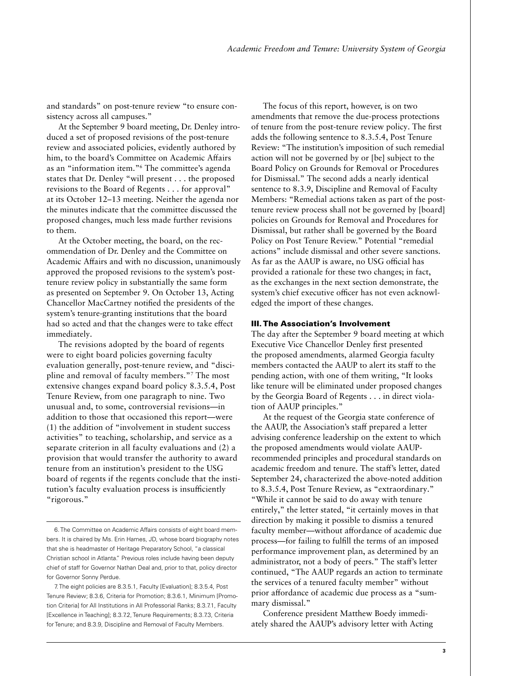and standards" on post-tenure review "to ensure consistency across all campuses."

At the September 9 board meeting, Dr. Denley introduced a set of proposed revisions of the post-tenure review and associated policies, evidently authored by him, to the board's Committee on Academic Affairs as an "information item."6 The committee's agenda states that Dr. Denley "will present . . . the proposed revisions to the Board of Regents . . . for approval" at its October 12–13 meeting. Neither the agenda nor the minutes indicate that the committee discussed the proposed changes, much less made further revisions to them.

At the October meeting, the board, on the recommendation of Dr. Denley and the Committee on Academic Affairs and with no discussion, unanimously approved the proposed revisions to the system's posttenure review policy in substantially the same form as presented on September 9. On October 13, Acting Chancellor MacCartney notified the presidents of the system's tenure-granting institutions that the board had so acted and that the changes were to take effect immediately.

The revisions adopted by the board of regents were to eight board policies governing faculty evaluation generally, post-tenure review, and "discipline and removal of faculty members."7 The most extensive changes expand board policy 8.3.5.4, Post Tenure Review, from one paragraph to nine. Two unusual and, to some, controversial revisions—in addition to those that occasioned this report—were (1) the addition of "involvement in student success activities" to teaching, scholarship, and service as a separate criterion in all faculty evaluations and (2) a provision that would transfer the authority to award tenure from an institution's president to the USG board of regents if the regents conclude that the institution's faculty evaluation process is insufficiently "rigorous."

The focus of this report, however, is on two amendments that remove the due-process protections of tenure from the post-tenure review policy. The first adds the following sentence to 8.3.5.4, Post Tenure Review: "The institution's imposition of such remedial action will not be governed by or [be] subject to the Board Policy on Grounds for Removal or Procedures for Dismissal." The second adds a nearly identical sentence to 8.3.9, Discipline and Removal of Faculty Members: "Remedial actions taken as part of the posttenure review process shall not be governed by [board] policies on Grounds for Removal and Procedures for Dismissal, but rather shall be governed by the Board Policy on Post Tenure Review." Potential "remedial actions" include dismissal and other severe sanctions. As far as the AAUP is aware, no USG official has provided a rationale for these two changes; in fact, as the exchanges in the next section demonstrate, the system's chief executive officer has not even acknowledged the import of these changes.

#### III. The Association's Involvement

The day after the September 9 board meeting at which Executive Vice Chancellor Denley first presented the proposed amendments, alarmed Georgia faculty members contacted the AAUP to alert its staff to the pending action, with one of them writing, "It looks like tenure will be eliminated under proposed changes by the Georgia Board of Regents . . . in direct violation of AAUP principles."

At the request of the Georgia state conference of the AAUP, the Association's staff prepared a letter advising conference leadership on the extent to which the proposed amendments would violate AAUPrecommended principles and procedural standards on academic freedom and tenure. The staff's letter, dated September 24, characterized the above-noted addition to 8.3.5.4, Post Tenure Review, as "extraordinary." "While it cannot be said to do away with tenure entirely," the letter stated, "it certainly moves in that direction by making it possible to dismiss a tenured faculty member—without affordance of academic due process—for failing to fulfill the terms of an imposed performance improvement plan, as determined by an administrator, not a body of peers." The staff's letter continued, "The AAUP regards an action to terminate the services of a tenured faculty member" without prior affordance of academic due process as a "summary dismissal."

Conference president Matthew Boedy immediately shared the AAUP's advisory letter with Acting

<sup>6.</sup> The Committee on Academic Affairs consists of eight board members. It is chaired by Ms. Erin Hames, JD, whose board biography notes that she is headmaster of Heritage Preparatory School, "a classical Christian school in Atlanta." Previous roles include having been deputy chief of staff for Governor Nathan Deal and, prior to that, policy director for Governor Sonny Perdue.

<sup>7.</sup> The eight policies are 8.3.5.1, Faculty [Evaluation]; 8.3.5.4, Post Tenure Review; 8.3.6, Criteria for Promotion; 8.3.6.1, Minimum [Promotion Criteria] for All Institutions in All Professorial Ranks; 8.3.7.1, Faculty [Excellence in Teaching]; 8.3.7.2, Tenure Requirements; 8.3.7.3, Criteria for Tenure; and 8.3.9, Discipline and Removal of Faculty Members.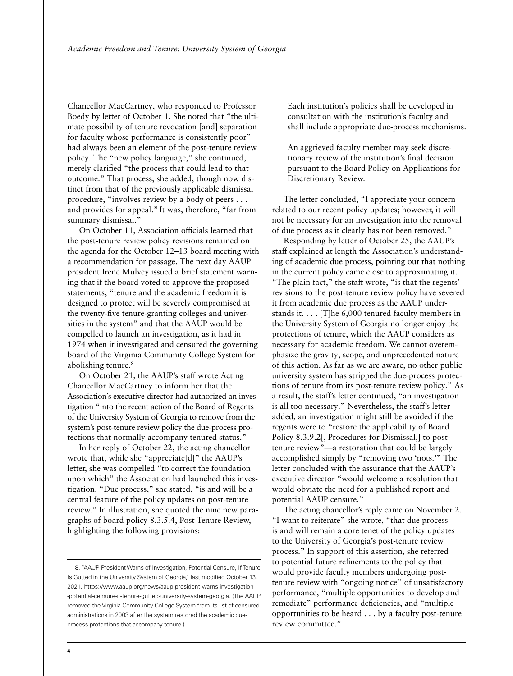Chancellor MacCartney, who responded to Professor Boedy by letter of October 1. She noted that "the ultimate possibility of tenure revocation [and] separation for faculty whose performance is consistently poor" had always been an element of the post-tenure review policy. The "new policy language," she continued, merely clarified "the process that could lead to that outcome." That process, she added, though now distinct from that of the previously applicable dismissal procedure, "involves review by a body of peers . . . and provides for appeal." It was, therefore, "far from summary dismissal."

On October 11, Association officials learned that the post-tenure review policy revisions remained on the agenda for the October 12–13 board meeting with a recommendation for passage. The next day AAUP president Irene Mulvey issued a brief statement warning that if the board voted to approve the proposed statements, "tenure and the academic freedom it is designed to protect will be severely compromised at the twenty-five tenure-granting colleges and universities in the system" and that the AAUP would be compelled to launch an investigation, as it had in 1974 when it investigated and censured the governing board of the Virginia Community College System for abolishing tenure.<sup>8</sup>

On October 21, the AAUP's staff wrote Acting Chancellor MacCartney to inform her that the Association's executive director had authorized an investigation "into the recent action of the Board of Regents of the University System of Georgia to remove from the system's post-tenure review policy the due-process protections that normally accompany tenured status."

In her reply of October 22, the acting chancellor wrote that, while she "appreciate[d]" the AAUP's letter, she was compelled "to correct the foundation upon which" the Association had launched this investigation. "Due process," she stated, "is and will be a central feature of the policy updates on post-tenure review." In illustration, she quoted the nine new paragraphs of board policy 8.3.5.4, Post Tenure Review, highlighting the following provisions:

8. "AAUP President Warns of Investigation, Potential Censure, If Tenure Is Gutted in the University System of Georgia," last modified October 13, 2021, [https://www.aaup.org/news/aaup-president-warns-investigation](https://www.aaup.org/news/aaup-president-warns-investigation-potential-censure-if-tenure-gutted-university-system-georgia) [-potential-censure-if-tenure-gutted-university-system-georgia](https://www.aaup.org/news/aaup-president-warns-investigation-potential-censure-if-tenure-gutted-university-system-georgia). (The AAUP removed the Virginia Community College System from its list of censured administrations in 2003 after the system restored the academic dueprocess protections that accompany tenure.)

Each institution's policies shall be developed in consultation with the institution's faculty and shall include appropriate due-process mechanisms.

An aggrieved faculty member may seek discretionary review of the institution's final decision pursuant to the Board Policy on Applications for Discretionary Review.

The letter concluded, "I appreciate your concern related to our recent policy updates; however, it will not be necessary for an investigation into the removal of due process as it clearly has not been removed."

Responding by letter of October 25, the AAUP's staff explained at length the Association's understanding of academic due process, pointing out that nothing in the current policy came close to approximating it. "The plain fact," the staff wrote, "is that the regents' revisions to the post-tenure review policy have severed it from academic due process as the AAUP understands it. . . . [T]he 6,000 tenured faculty members in the University System of Georgia no longer enjoy the protections of tenure, which the AAUP considers as necessary for academic freedom. We cannot overemphasize the gravity, scope, and unprecedented nature of this action. As far as we are aware, no other public university system has stripped the due-process protections of tenure from its post-tenure review policy." As a result, the staff's letter continued, "an investigation is all too necessary." Nevertheless, the staff's letter added, an investigation might still be avoided if the regents were to "restore the applicability of Board Policy 8.3.9.2[, Procedures for Dismissal,] to posttenure review"—a restoration that could be largely accomplished simply by "removing two 'nots.'" The letter concluded with the assurance that the AAUP's executive director "would welcome a resolution that would obviate the need for a published report and potential AAUP censure."

The acting chancellor's reply came on November 2. "I want to reiterate" she wrote, "that due process is and will remain a core tenet of the policy updates to the University of Georgia's post-tenure review process." In support of this assertion, she referred to potential future refinements to the policy that would provide faculty members undergoing posttenure review with "ongoing notice" of unsatisfactory performance, "multiple opportunities to develop and remediate" performance deficiencies, and "multiple opportunities to be heard . . . by a faculty post-tenure review committee."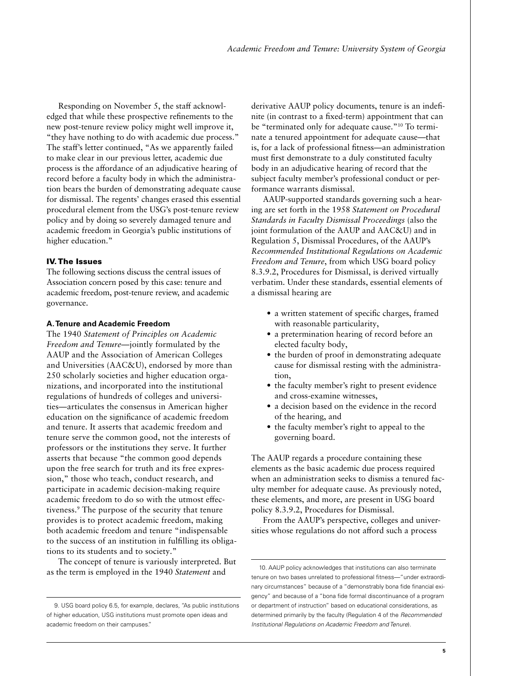Responding on November 5, the staff acknowledged that while these prospective refinements to the new post-tenure review policy might well improve it, "they have nothing to do with academic due process." The staff's letter continued, "As we apparently failed to make clear in our previous letter, academic due process is the affordance of an adjudicative hearing of record before a faculty body in which the administration bears the burden of demonstrating adequate cause for dismissal. The regents' changes erased this essential procedural element from the USG's post-tenure review policy and by doing so severely damaged tenure and academic freedom in Georgia's public institutions of higher education."

#### IV. The Issues

The following sections discuss the central issues of Association concern posed by this case: tenure and academic freedom, post-tenure review, and academic governance.

#### **A. Tenure and Academic Freedom**

The 1940 *Statement of Principles on Academic Freedom and Tenure—*jointly formulated by the AAUP and the Association of American Colleges and Universities (AAC&U), endorsed by more than 250 scholarly societies and higher education organizations, and incorporated into the institutional regulations of hundreds of colleges and universities—articulates the consensus in American higher education on the significance of academic freedom and tenure. It asserts that academic freedom and tenure serve the common good, not the interests of professors or the institutions they serve. It further asserts that because "the common good depends upon the free search for truth and its free expression," those who teach, conduct research, and participate in academic decision-making require academic freedom to do so with the utmost effectiveness.9 The purpose of the security that tenure provides is to protect academic freedom, making both academic freedom and tenure "indispensable to the success of an institution in fulfilling its obligations to its students and to society."

The concept of tenure is variously interpreted. But as the term is employed in the 1940 *Statement* and

derivative AAUP policy documents, tenure is an indefinite (in contrast to a fixed-term) appointment that can be "terminated only for adequate cause."10 To terminate a tenured appointment for adequate cause—that is, for a lack of professional fitness—an administration must first demonstrate to a duly constituted faculty body in an adjudicative hearing of record that the subject faculty member's professional conduct or performance warrants dismissal.

AAUP-supported standards governing such a hearing are set forth in the 1958 *Statement on Procedural Standards in Faculty Dismissal Proceedings* (also the joint formulation of the AAUP and AAC&U) and in Regulation 5, Dismissal Procedures, of the AAUP's *Recommended Institutional Regulations on Academic Freedom and Tenure*, from which USG board policy 8.3.9.2, Procedures for Dismissal, is derived virtually verbatim. Under these standards, essential elements of a dismissal hearing are

- a written statement of specific charges, framed with reasonable particularity,
- a pretermination hearing of record before an elected faculty body,
- the burden of proof in demonstrating adequate cause for dismissal resting with the administration,
- the faculty member's right to present evidence and cross-examine witnesses,
- a decision based on the evidence in the record of the hearing, and
- the faculty member's right to appeal to the governing board.

The AAUP regards a procedure containing these elements as the basic academic due process required when an administration seeks to dismiss a tenured faculty member for adequate cause. As previously noted, these elements, and more, are present in USG board policy 8.3.9.2, Procedures for Dismissal.

From the AAUP's perspective, colleges and universities whose regulations do not afford such a process

 <sup>9.</sup> USG board policy 6.5, for example, declares, "As public institutions of higher education, USG institutions must promote open ideas and academic freedom on their campuses."

 <sup>10.</sup> AAUP policy acknowledges that institutions can also terminate tenure on two bases unrelated to professional fitness—"under extraordinary circumstances" because of a "demonstrably bona fide financial exigency" and because of a "bona fide formal discontinuance of a program or department of instruction" based on educational considerations, as determined primarily by the faculty (Regulation 4 of the *Recommended Institutional Regulations on Academic Freedom and Tenure*).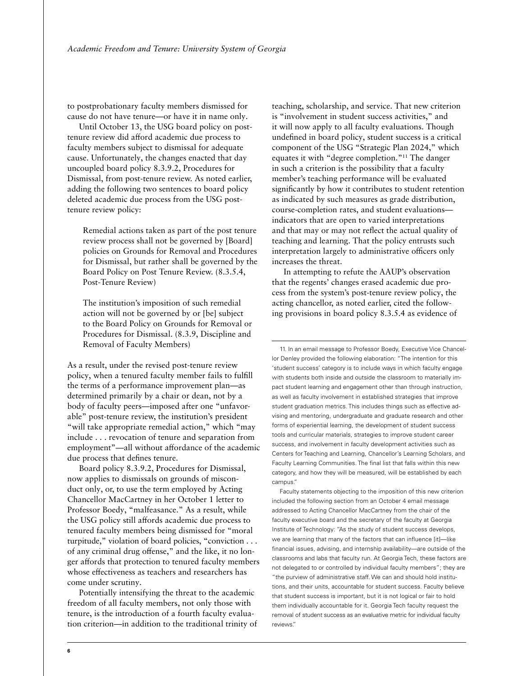to postprobationary faculty members dismissed for cause do not have tenure—or have it in name only.

Until October 13, the USG board policy on posttenure review did afford academic due process to faculty members subject to dismissal for adequate cause. Unfortunately, the changes enacted that day uncoupled board policy 8.3.9.2, Procedures for Dismissal, from post-tenure review. As noted earlier, adding the following two sentences to board policy deleted academic due process from the USG posttenure review policy:

Remedial actions taken as part of the post tenure review process shall not be governed by [Board] policies on Grounds for Removal and Procedures for Dismissal, but rather shall be governed by the Board Policy on Post Tenure Review. (8.3.5.4, Post-Tenure Review)

The institution's imposition of such remedial action will not be governed by or [be] subject to the Board Policy on Grounds for Removal or Procedures for Dismissal. (8.3.9, Discipline and Removal of Faculty Members)

As a result, under the revised post-tenure review policy, when a tenured faculty member fails to fulfill the terms of a performance improvement plan—as determined primarily by a chair or dean, not by a body of faculty peers—imposed after one "unfavorable" post-tenure review, the institution's president "will take appropriate remedial action," which "may include . . . revocation of tenure and separation from employment"—all without affordance of the academic due process that defines tenure.

Board policy 8.3.9.2, Procedures for Dismissal, now applies to dismissals on grounds of misconduct only, or, to use the term employed by Acting Chancellor MacCartney in her October 1 letter to Professor Boedy, "malfeasance." As a result, while the USG policy still affords academic due process to tenured faculty members being dismissed for "moral turpitude," violation of board policies, "conviction . . . of any criminal drug offense," and the like, it no longer affords that protection to tenured faculty members whose effectiveness as teachers and researchers has come under scrutiny.

Potentially intensifying the threat to the academic freedom of all faculty members, not only those with tenure, is the introduction of a fourth faculty evaluation criterion—in addition to the traditional trinity of teaching, scholarship, and service. That new criterion is "involvement in student success activities," and it will now apply to all faculty evaluations. Though undefined in board policy, student success is a critical component of the USG "Strategic Plan 2024," which equates it with "degree completion."11 The danger in such a criterion is the possibility that a faculty member's teaching performance will be evaluated significantly by how it contributes to student retention as indicated by such measures as grade distribution, course-completion rates, and student evaluations indicators that are open to varied interpretations and that may or may not reflect the actual quality of teaching and learning. That the policy entrusts such interpretation largely to administrative officers only increases the threat.

In attempting to refute the AAUP's observation that the regents' changes erased academic due process from the system's post-tenure review policy, the acting chancellor, as noted earlier, cited the following provisions in board policy 8.3.5.4 as evidence of

 11. In an email message to Professor Boedy, Executive Vice Chancellor Denley provided the following elaboration: "The intention for this 'student success' category is to include ways in which faculty engage with students both inside and outside the classroom to materially impact student learning and engagement other than through instruction, as well as faculty involvement in established strategies that improve student graduation metrics. This includes things such as effective advising and mentoring, undergraduate and graduate research and other forms of experiential learning, the development of student success tools and curricular materials, strategies to improve student career success, and involvement in faculty development activities such as Centers for Teaching and Learning, Chancellor's Learning Scholars, and Faculty Learning Communities. The final list that falls within this new category, and how they will be measured, will be established by each campus."

Faculty statements objecting to the imposition of this new criterion included the following section from an October 4 email message addressed to Acting Chancellor MacCartney from the chair of the faculty executive board and the secretary of the faculty at Georgia Institute of Technology: "As the study of student success develops, we are learning that many of the factors that can influence [it]—like financial issues, advising, and internship availability—are outside of the classrooms and labs that faculty run. At Georgia Tech, these factors are not delegated to or controlled by individual faculty members"; they are "the purview of administrative staff. We can and should hold institutions, and their units, accountable for student success. Faculty believe that student success is important, but it is not logical or fair to hold them individually accountable for it. Georgia Tech faculty request the removal of student success as an evaluative metric for individual faculty reviews."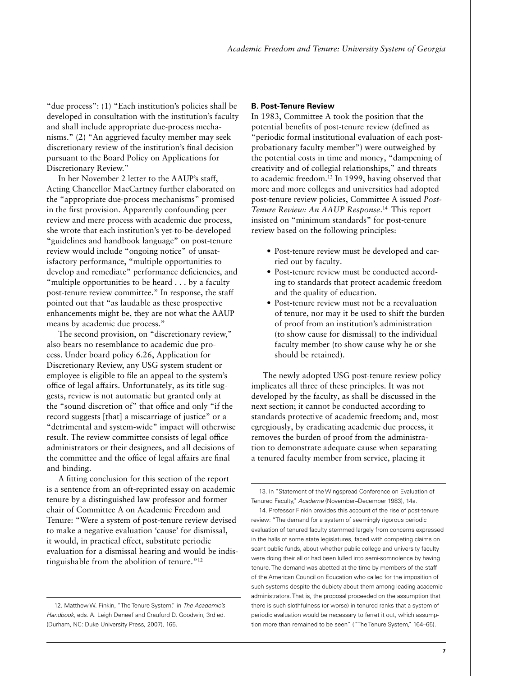"due process": (1) "Each institution's policies shall be developed in consultation with the institution's faculty and shall include appropriate due-process mechanisms." (2) "An aggrieved faculty member may seek discretionary review of the institution's final decision pursuant to the Board Policy on Applications for Discretionary Review."

In her November 2 letter to the AAUP's staff, Acting Chancellor MacCartney further elaborated on the "appropriate due-process mechanisms" promised in the first provision. Apparently confounding peer review and mere process with academic due process, she wrote that each institution's yet-to-be-developed "guidelines and handbook language" on post-tenure review would include "ongoing notice" of unsatisfactory performance, "multiple opportunities to develop and remediate" performance deficiencies, and "multiple opportunities to be heard . . . by a faculty post-tenure review committee." In response, the staff pointed out that "as laudable as these prospective enhancements might be, they are not what the AAUP means by academic due process."

The second provision, on "discretionary review," also bears no resemblance to academic due process. Under board policy 6.26, Application for Discretionary Review, any USG system student or employee is eligible to file an appeal to the system's office of legal affairs. Unfortunately, as its title suggests, review is not automatic but granted only at the "sound discretion of" that office and only "if the record suggests [that] a miscarriage of justice" or a "detrimental and system-wide" impact will otherwise result. The review committee consists of legal office administrators or their designees, and all decisions of the committee and the office of legal affairs are final and binding.

A fitting conclusion for this section of the report is a sentence from an oft-reprinted essay on academic tenure by a distinguished law professor and former chair of Committee A on Academic Freedom and Tenure: "Were a system of post-tenure review devised to make a negative evaluation 'cause' for dismissal, it would, in practical effect, substitute periodic evaluation for a dismissal hearing and would be indistinguishable from the abolition of tenure."<sup>12</sup>

#### **B. Post-Tenure Review**

In 1983, Committee A took the position that the potential benefits of post-tenure review (defined as "periodic formal institutional evaluation of each postprobationary faculty member") were outweighed by the potential costs in time and money, "dampening of creativity and of collegial relationships," and threats to academic freedom.13 In 1999, having observed that more and more colleges and universities had adopted post-tenure review policies, Committee A issued *Post-Tenure Review: An AAUP Response*. 14 This report insisted on "minimum standards" for post-tenure review based on the following principles:

- Post-tenure review must be developed and carried out by faculty.
- Post-tenure review must be conducted according to standards that protect academic freedom and the quality of education.
- Post-tenure review must not be a reevaluation of tenure, nor may it be used to shift the burden of proof from an institution's administration (to show cause for dismissal) to the individual faculty member (to show cause why he or she should be retained).

The newly adopted USG post-tenure review policy implicates all three of these principles. It was not developed by the faculty, as shall be discussed in the next section; it cannot be conducted according to standards protective of academic freedom; and, most egregiously, by eradicating academic due process, it removes the burden of proof from the administration to demonstrate adequate cause when separating a tenured faculty member from service, placing it

 <sup>12.</sup> Matthew W. Finkin, "The Tenure System," in *The Academic's Handbook*, eds. A. Leigh Deneef and Craufurd D. Goodwin, 3rd ed. (Durham, NC: Duke University Press, 2007), 165.

 <sup>13.</sup> In "Statement of the Wingspread Conference on Evaluation of Tenured Faculty," *Academe* (November–December 1983), 14a.

 <sup>14.</sup> Professor Finkin provides this account of the rise of post-tenure review: "The demand for a system of seemingly rigorous periodic evaluation of tenured faculty stemmed largely from concerns expressed in the halls of some state legislatures, faced with competing claims on scant public funds, about whether public college and university faculty were doing their all or had been lulled into semi-somnolence by having tenure. The demand was abetted at the time by members of the staff of the American Council on Education who called for the imposition of such systems despite the dubiety about them among leading academic administrators. That is, the proposal proceeded on the assumption that there is such slothfulness (or worse) in tenured ranks that a system of periodic evaluation would be necessary to ferret it out, which assumption more than remained to be seen" ("The Tenure System," 164–65).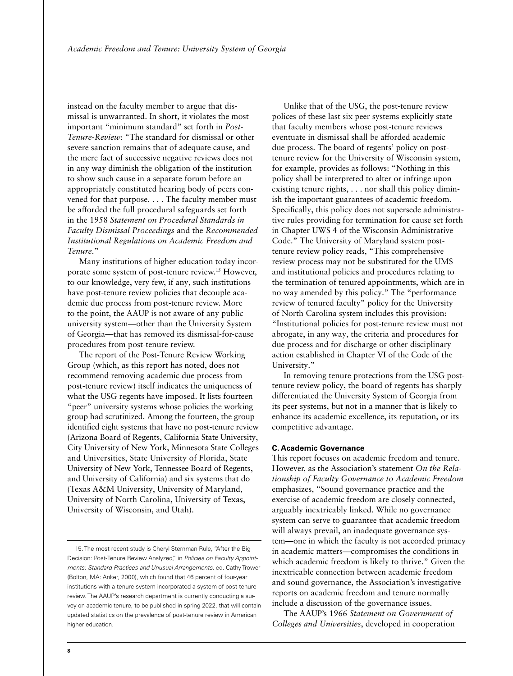instead on the faculty member to argue that dismissal is unwarranted. In short, it violates the most important "minimum standard" set forth in *Post-Tenure-Review*: "The standard for dismissal or other severe sanction remains that of adequate cause, and the mere fact of successive negative reviews does not in any way diminish the obligation of the institution to show such cause in a separate forum before an appropriately constituted hearing body of peers convened for that purpose. . . . The faculty member must be afforded the full procedural safeguards set forth in the 1958 *Statement on Procedural Standards in Faculty Dismissal Proceedings* and the *Recommended Institutional Regulations on Academic Freedom and Tenure*."

Many institutions of higher education today incorporate some system of post-tenure review.15 However, to our knowledge, very few, if any, such institutions have post-tenure review policies that decouple academic due process from post-tenure review. More to the point, the AAUP is not aware of any public university system—other than the University System of Georgia—that has removed its dismissal-for-cause procedures from post-tenure review.

The report of the Post-Tenure Review Working Group (which, as this report has noted, does not recommend removing academic due process from post-tenure review) itself indicates the uniqueness of what the USG regents have imposed. It lists fourteen "peer" university systems whose policies the working group had scrutinized. Among the fourteen, the group identified eight systems that have no post-tenure review (Arizona Board of Regents, California State University, City University of New York, Minnesota State Colleges and Universities, State University of Florida, State University of New York, Tennessee Board of Regents, and University of California) and six systems that do (Texas A&M University, University of Maryland, University of North Carolina, University of Texas, University of Wisconsin, and Utah).

 15. The most recent study is Cheryl Sternman Rule, "After the Big Decision: Post-Tenure Review Analyzed," in *Policies on Faculty Appointments: Standard Practices and Unusual Arrangements*, ed. Cathy Trower (Bolton, MA: Anker, 2000), which found that 46 percent of four-year institutions with a tenure system incorporated a system of post-tenure review. The AAUP's research department is currently conducting a survey on academic tenure, to be published in spring 2022, that will contain updated statistics on the prevalence of post-tenure review in American higher education.

Unlike that of the USG, the post-tenure review polices of these last six peer systems explicitly state that faculty members whose post-tenure reviews eventuate in dismissal shall be afforded academic due process. The board of regents' policy on posttenure review for the University of Wisconsin system, for example, provides as follows: "Nothing in this policy shall be interpreted to alter or infringe upon existing tenure rights, . . . nor shall this policy diminish the important guarantees of academic freedom. Specifically, this policy does not supersede administrative rules providing for termination for cause set forth in Chapter UWS 4 of the Wisconsin Administrative Code." The University of Maryland system posttenure review policy reads, "This comprehensive review process may not be substituted for the UMS and institutional policies and procedures relating to the termination of tenured appointments, which are in no way amended by this policy." The "performance review of tenured faculty" policy for the University of North Carolina system includes this provision: "Institutional policies for post-tenure review must not abrogate, in any way, the criteria and procedures for due process and for discharge or other disciplinary action established in Chapter VI of the Code of the University."

In removing tenure protections from the USG posttenure review policy, the board of regents has sharply differentiated the University System of Georgia from its peer systems, but not in a manner that is likely to enhance its academic excellence, its reputation, or its competitive advantage.

#### **C. Academic Governance**

This report focuses on academic freedom and tenure. However, as the Association's statement *On the Relationship of Faculty Governance to Academic Freedom* emphasizes, "Sound governance practice and the exercise of academic freedom are closely connected, arguably inextricably linked. While no governance system can serve to guarantee that academic freedom will always prevail, an inadequate governance system—one in which the faculty is not accorded primacy in academic matters—compromises the conditions in which academic freedom is likely to thrive." Given the inextricable connection between academic freedom and sound governance, the Association's investigative reports on academic freedom and tenure normally include a discussion of the governance issues.

The AAUP's 1966 *Statement on Government of Colleges and Universities*, developed in cooperation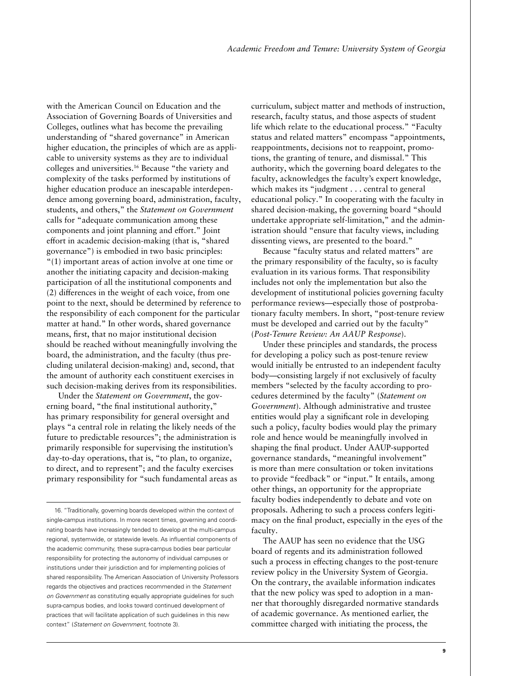with the American Council on Education and the Association of Governing Boards of Universities and Colleges, outlines what has become the prevailing understanding of "shared governance" in American higher education, the principles of which are as applicable to university systems as they are to individual colleges and universities.16 Because "the variety and complexity of the tasks performed by institutions of higher education produce an inescapable interdependence among governing board, administration, faculty, students, and others," the *Statement on Government* calls for "adequate communication among these components and joint planning and effort." Joint effort in academic decision-making (that is, "shared governance") is embodied in two basic principles: "(1) important areas of action involve at one time or another the initiating capacity and decision-making participation of all the institutional components and (2) differences in the weight of each voice, from one point to the next, should be determined by reference to the responsibility of each component for the particular matter at hand." In other words, shared governance means, first, that no major institutional decision should be reached without meaningfully involving the board, the administration, and the faculty (thus precluding unilateral decision-making) and, second, that the amount of authority each constituent exercises in such decision-making derives from its responsibilities.

Under the *Statement on Government*, the governing board, "the final institutional authority," has primary responsibility for general oversight and plays "a central role in relating the likely needs of the future to predictable resources"; the administration is primarily responsible for supervising the institution's day-to-day operations, that is, "to plan, to organize, to direct, and to represent"; and the faculty exercises primary responsibility for "such fundamental areas as curriculum, subject matter and methods of instruction, research, faculty status, and those aspects of student life which relate to the educational process." "Faculty status and related matters" encompass "appointments, reappointments, decisions not to reappoint, promotions, the granting of tenure, and dismissal." This authority, which the governing board delegates to the faculty, acknowledges the faculty's expert knowledge, which makes its "judgment . . . central to general educational policy." In cooperating with the faculty in shared decision-making, the governing board "should undertake appropriate self-limitation," and the administration should "ensure that faculty views, including dissenting views, are presented to the board."

Because "faculty status and related matters" are the primary responsibility of the faculty, so is faculty evaluation in its various forms. That responsibility includes not only the implementation but also the development of institutional policies governing faculty performance reviews—especially those of postprobationary faculty members. In short, "post-tenure review must be developed and carried out by the faculty" (*Post-Tenure Review: An AAUP Response*).

Under these principles and standards, the process for developing a policy such as post-tenure review would initially be entrusted to an independent faculty body—consisting largely if not exclusively of faculty members "selected by the faculty according to procedures determined by the faculty" (*Statement on Government*). Although administrative and trustee entities would play a significant role in developing such a policy, faculty bodies would play the primary role and hence would be meaningfully involved in shaping the final product. Under AAUP-supported governance standards, "meaningful involvement" is more than mere consultation or token invitations to provide "feedback" or "input." It entails, among other things, an opportunity for the appropriate faculty bodies independently to debate and vote on proposals. Adhering to such a process confers legitimacy on the final product, especially in the eyes of the faculty.

The AAUP has seen no evidence that the USG board of regents and its administration followed such a process in effecting changes to the post-tenure review policy in the University System of Georgia. On the contrary, the available information indicates that the new policy was sped to adoption in a manner that thoroughly disregarded normative standards of academic governance. As mentioned earlier, the committee charged with initiating the process, the

 <sup>16. &</sup>quot;Traditionally, governing boards developed within the context of single-campus institutions. In more recent times, governing and coordinating boards have increasingly tended to develop at the multi-campus regional, systemwide, or statewide levels. As influential components of the academic community, these supra-campus bodies bear particular responsibility for protecting the autonomy of individual campuses or institutions under their jurisdiction and for implementing policies of shared responsibility. The American Association of University Professors regards the objectives and practices recommended in the *Statement on Government* as constituting equally appropriate guidelines for such supra-campus bodies, and looks toward continued development of practices that will facilitate application of such guidelines in this new context" (*Statement on Government*, footnote 3).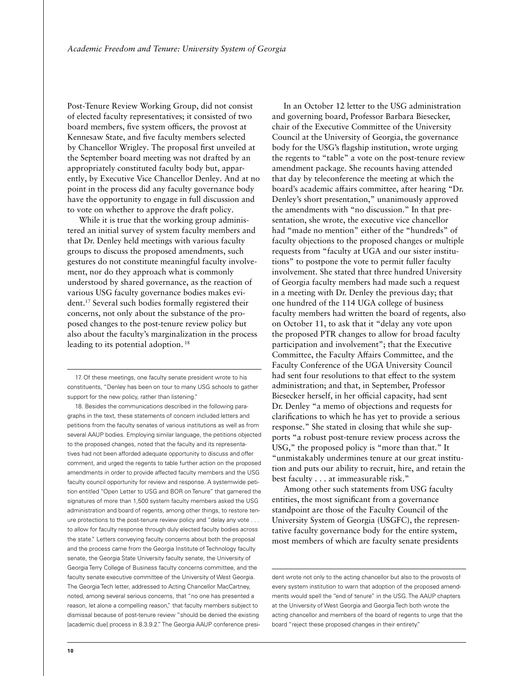Post-Tenure Review Working Group, did not consist of elected faculty representatives; it consisted of two board members, five system officers, the provost at Kennesaw State, and five faculty members selected by Chancellor Wrigley. The proposal first unveiled at the September board meeting was not drafted by an appropriately constituted faculty body but, apparently, by Executive Vice Chancellor Denley. And at no point in the process did any faculty governance body have the opportunity to engage in full discussion and to vote on whether to approve the draft policy.

While it is true that the working group administered an initial survey of system faculty members and that Dr. Denley held meetings with various faculty groups to discuss the proposed amendments, such gestures do not constitute meaningful faculty involvement, nor do they approach what is commonly understood by shared governance, as the reaction of various USG faculty governance bodies makes evident.17 Several such bodies formally registered their concerns, not only about the substance of the proposed changes to the post-tenure review policy but also about the faculty's marginalization in the process leading to its potential adoption.<sup>18</sup>

17. Of these meetings, one faculty senate president wrote to his constituents, "Denley has been on tour to many USG schools to gather support for the new policy, rather than listening."

18. Besides the communications described in the following paragraphs in the text, these statements of concern included letters and petitions from the faculty senates of various institutions as well as from several AAUP bodies. Employing similar language, the petitions objected to the proposed changes, noted that the faculty and its representatives had not been afforded adequate opportunity to discuss and offer comment, and urged the regents to table further action on the proposed amendments in order to provide affected faculty members and the USG faculty council opportunity for review and response. A systemwide petition entitled "Open Letter to USG and BOR on Tenure" that garnered the signatures of more than 1,500 system faculty members asked the USG administration and board of regents, among other things, to restore tenure protections to the post-tenure review policy and "delay any vote . . . to allow for faculty response through duly elected faculty bodies across the state." Letters conveying faculty concerns about both the proposal and the process came from the Georgia Institute of Technology faculty senate, the Georgia State University faculty senate, the University of Georgia Terry College of Business faculty concerns committee, and the faculty senate executive committee of the University of West Georgia. The Georgia Tech letter, addressed to Acting Chancellor MacCartney, noted, among several serious concerns, that "no one has presented a reason, let alone a compelling reason," that faculty members subject to dismissal because of post-tenure review "should be denied the existing [academic due] process in 8.3.9.2." The Georgia AAUP conference presi-

In an October 12 letter to the USG administration and governing board, Professor Barbara Biesecker, chair of the Executive Committee of the University Council at the University of Georgia, the governance body for the USG's flagship institution, wrote urging the regents to "table" a vote on the post-tenure review amendment package. She recounts having attended that day by teleconference the meeting at which the board's academic affairs committee, after hearing "Dr. Denley's short presentation," unanimously approved the amendments with "no discussion." In that presentation, she wrote, the executive vice chancellor had "made no mention" either of the "hundreds" of faculty objections to the proposed changes or multiple requests from "faculty at UGA and our sister institutions" to postpone the vote to permit fuller faculty involvement. She stated that three hundred University of Georgia faculty members had made such a request in a meeting with Dr. Denley the previous day; that one hundred of the 114 UGA college of business faculty members had written the board of regents, also on October 11, to ask that it "delay any vote upon the proposed PTR changes to allow for broad faculty participation and involvement"; that the Executive Committee, the Faculty Affairs Committee, and the Faculty Conference of the UGA University Council had sent four resolutions to that effect to the system administration; and that, in September, Professor Biesecker herself, in her official capacity, had sent Dr. Denley "a memo of objections and requests for clarifications to which he has yet to provide a serious response." She stated in closing that while she supports "a robust post-tenure review process across the USG," the proposed policy is "more than that." It "unmistakably undermines tenure at our great institution and puts our ability to recruit, hire, and retain the best faculty . . . at immeasurable risk."

Among other such statements from USG faculty entities, the most significant from a governance standpoint are those of the Faculty Council of the University System of Georgia (USGFC), the representative faculty governance body for the entire system, most members of which are faculty senate presidents

dent wrote not only to the acting chancellor but also to the provosts of every system institution to warn that adoption of the proposed amendments would spell the "end of tenure" in the USG. The AAUP chapters at the University of West Georgia and Georgia Tech both wrote the acting chancellor and members of the board of regents to urge that the board "reject these proposed changes in their entirety."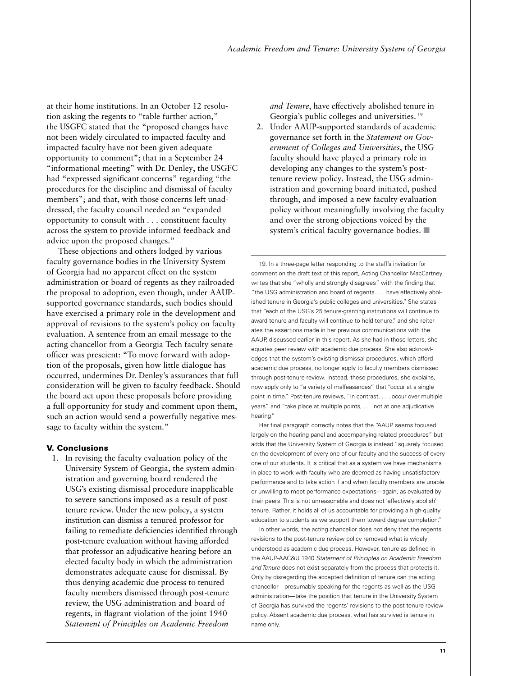at their home institutions. In an October 12 resolution asking the regents to "table further action," the USGFC stated that the "proposed changes have not been widely circulated to impacted faculty and impacted faculty have not been given adequate opportunity to comment"; that in a September 24 "informational meeting" with Dr. Denley, the USGFC had "expressed significant concerns" regarding "the procedures for the discipline and dismissal of faculty members"; and that, with those concerns left unaddressed, the faculty council needed an "expanded opportunity to consult with . . . constituent faculty across the system to provide informed feedback and advice upon the proposed changes."

These objections and others lodged by various faculty governance bodies in the University System of Georgia had no apparent effect on the system administration or board of regents as they railroaded the proposal to adoption, even though, under AAUPsupported governance standards, such bodies should have exercised a primary role in the development and approval of revisions to the system's policy on faculty evaluation. A sentence from an email message to the acting chancellor from a Georgia Tech faculty senate officer was prescient: "To move forward with adoption of the proposals, given how little dialogue has occurred, undermines Dr. Denley's assurances that full consideration will be given to faculty feedback. Should the board act upon these proposals before providing a full opportunity for study and comment upon them, such an action would send a powerfully negative message to faculty within the system."

### V. Conclusions

1. In revising the faculty evaluation policy of the University System of Georgia, the system administration and governing board rendered the USG's existing dismissal procedure inapplicable to severe sanctions imposed as a result of posttenure review. Under the new policy, a system institution can dismiss a tenured professor for failing to remediate deficiencies identified through post-tenure evaluation without having afforded that professor an adjudicative hearing before an elected faculty body in which the administration demonstrates adequate cause for dismissal. By thus denying academic due process to tenured faculty members dismissed through post-tenure review, the USG administration and board of regents, in flagrant violation of the joint 1940 *Statement of Principles on Academic Freedom* 

*and Tenure*, have effectively abolished tenure in Georgia's public colleges and universities. 19

2. Under AAUP-supported standards of academic governance set forth in the *Statement on Government of Colleges and Universities*, the USG faculty should have played a primary role in developing any changes to the system's posttenure review policy. Instead, the USG administration and governing board initiated, pushed through, and imposed a new faculty evaluation policy without meaningfully involving the faculty and over the strong objections voiced by the system's critical faculty governance bodies.  $\blacksquare$ 

 19. In a three-page letter responding to the staff's invitation for comment on the draft text of this report, Acting Chancellor MacCartney writes that she "wholly and strongly disagrees" with the finding that "the USG administration and board of regents . . . have effectively abolished tenure in Georgia's public colleges and universities." She states that "each of the USG's 25 tenure-granting institutions will continue to award tenure and faculty will continue to hold tenure," and she reiterates the assertions made in her previous communications with the AAUP, discussed earlier in this report. As she had in those letters, she equates peer review with academic due process. She also acknowledges that the system's existing dismissal procedures, which afford academic due process, no longer apply to faculty members dismissed through post-tenure review. Instead, these procedures, she explains, now apply only to "a variety of malfeasances" that "occur at a single point in time." Post-tenure reviews, "in contrast, . . . occur over multiple years" and "take place at multiple points, . . . not at one adjudicative hearing."

Her final paragraph correctly notes that the "AAUP seems focused largely on the hearing panel and accompanying related procedures" but adds that the University System of Georgia is instead "squarely focused on the development of every one of our faculty and the success of every one of our students. It is critical that as a system we have mechanisms in place to work with faculty who are deemed as having unsatisfactory performance and to take action if and when faculty members are unable or unwilling to meet performance expectations—again, as evaluated by their peers. This is not unreasonable and does not 'effectively abolish' tenure. Rather, it holds all of us accountable for providing a high-quality education to students as we support them toward degree completion."

In other words, the acting chancellor does not deny that the regents' revisions to the post-tenure review policy removed what is widely understood as academic due process. However, tenure as defined in the AAUP-AAC&U 1940 *Statement of Principles on Academic Freedom and Tenure* does not exist separately from the process that protects it. Only by disregarding the accepted definition of tenure can the acting chancellor—presumably speaking for the regents as well as the USG administration—take the position that tenure in the University System of Georgia has survived the regents' revisions to the post-tenure review policy. Absent academic due process, what has survived is tenure in name only.